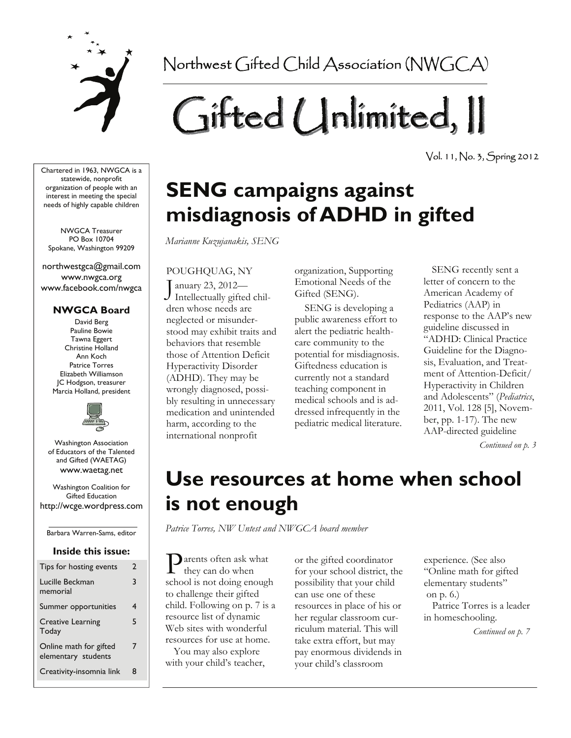

Northwest Gifted Child Association (NWGCA)

# Gifted Unlimited, II

Vol. 11, No. 3, Spring 2012

Chartered in 1963, NWGCA is a statewide, nonprofit organization of people with an interest in meeting the special needs of highly capable children

NWGCA Treasurer PO Box 10704 Spokane, Washington 99209

northwestgca@gmail.com www.nwgca.org www.facebook.com/nwgca

#### **NWGCA Board**

David Berg Pauline Bowie Tawna Eggert Christine Holland Ann Koch Patrice Torres Elizabeth Williamson JC Hodgson, treasurer Marcia Holland, president



Washington Association of Educators of the Talented and Gifted (WAETAG) www.waetag.net

Washington Coalition for Gifted Education http://wcge.wordpress.com

Barbara Warren-Sams, editor

#### **Inside this issue:**

| Tips for hosting events                       | 2 |
|-----------------------------------------------|---|
| Lucille Beckman<br>memorial                   | 3 |
| Summer opportunities                          | 4 |
| <b>Creative Learning</b><br>Today             | 5 |
| Online math for gifted<br>elementary students | 7 |
| Creativity-insomnia link                      | 8 |

## **SENG campaigns against misdiagnosis of ADHD in gifted**

*Marianne Kuzujanakis, SENG*

#### POUGHQUAG, NY

anuary 23, 2012- $J$  Intellectually gifted children whose needs are neglected or misunderstood may exhibit traits and behaviors that resemble those of Attention Deficit Hyperactivity Disorder (ADHD). They may be wrongly diagnosed, possibly resulting in unnecessary medication and unintended harm, according to the international nonprofit

organization, Supporting Emotional Needs of the Gifted (SENG).

 SENG is developing a public awareness effort to alert the pediatric healthcare community to the potential for misdiagnosis. Giftedness education is currently not a standard teaching component in medical schools and is addressed infrequently in the pediatric medical literature.

 SENG recently sent a letter of concern to the American Academy of Pediatrics (AAP) in response to the AAP's new guideline discussed in "ADHD: Clinical Practice Guideline for the Diagnosis, Evaluation, and Treatment of Attention-Deficit/ Hyperactivity in Children and Adolescents" (*Pediatrics*, 2011, Vol. 128 [5], November, pp. 1-17). The new AAP-directed guideline

*Continued on p. 3* 

### **Use resources at home when school is not enough**

*Patrice Torres, NW Untest and NWGCA board member*

arents often ask what they can do when school is not doing enough to challenge their gifted child. Following on p. 7 is a resource list of dynamic Web sites with wonderful resources for use at home.

 You may also explore with your child's teacher, or the gifted coordinator for your school district, the possibility that your child can use one of these resources in place of his or her regular classroom curriculum material. This will take extra effort, but may pay enormous dividends in your child's classroom

experience. (See also "Online math for gifted elementary students" on p. 6.)

 Patrice Torres is a leader in homeschooling.

*Continued on p. 7*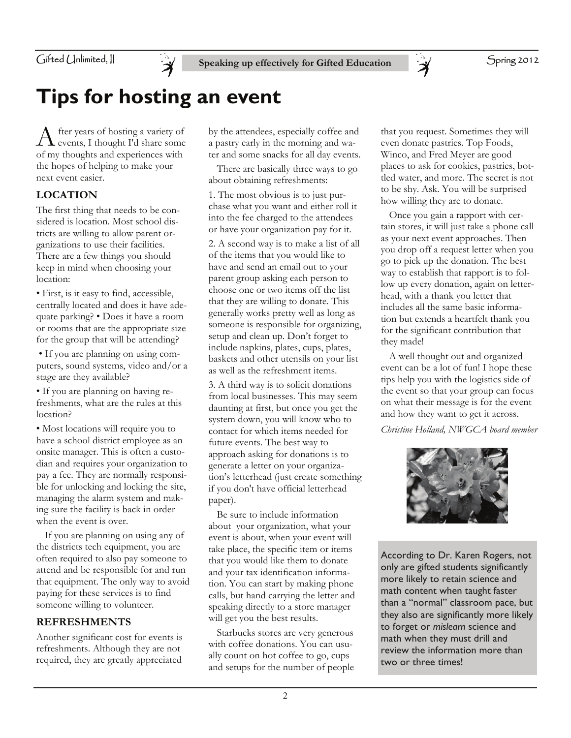

Speaking up effectively for Gifted Education **Spring 2012** 

### **Tips for hosting an event**

A fter years of hosting a variety of events, I thought I'd share some of my thoughts and experiences with the hopes of helping to make your next event easier.

#### **LOCATION**

The first thing that needs to be considered is location. Most school districts are willing to allow parent organizations to use their facilities. There are a few things you should keep in mind when choosing your location:

• First, is it easy to find, accessible, centrally located and does it have adequate parking? • Does it have a room or rooms that are the appropriate size for the group that will be attending?

 • If you are planning on using computers, sound systems, video and/or a stage are they available?

• If you are planning on having refreshments, what are the rules at this location?

• Most locations will require you to have a school district employee as an onsite manager. This is often a custodian and requires your organization to pay a fee. They are normally responsible for unlocking and locking the site, managing the alarm system and making sure the facility is back in order when the event is over.

 If you are planning on using any of the districts tech equipment, you are often required to also pay someone to attend and be responsible for and run that equipment. The only way to avoid paying for these services is to find someone willing to volunteer.

#### **REFRESHMENTS**

Another significant cost for events is refreshments. Although they are not required, they are greatly appreciated

by the attendees, especially coffee and a pastry early in the morning and water and some snacks for all day events.

 There are basically three ways to go about obtaining refreshments:

1. The most obvious is to just purchase what you want and either roll it into the fee charged to the attendees or have your organization pay for it.

2. A second way is to make a list of all of the items that you would like to have and send an email out to your parent group asking each person to choose one or two items off the list that they are willing to donate. This generally works pretty well as long as someone is responsible for organizing, setup and clean up. Don't forget to include napkins, plates, cups, plates, baskets and other utensils on your list as well as the refreshment items.

3. A third way is to solicit donations from local businesses. This may seem daunting at first, but once you get the system down, you will know who to contact for which items needed for future events. The best way to approach asking for donations is to generate a letter on your organization's letterhead (just create something if you don't have official letterhead paper).

 Be sure to include information about your organization, what your event is about, when your event will take place, the specific item or items that you would like them to donate and your tax identification information. You can start by making phone calls, but hand carrying the letter and speaking directly to a store manager will get you the best results.

 Starbucks stores are very generous with coffee donations. You can usually count on hot coffee to go, cups and setups for the number of people that you request. Sometimes they will even donate pastries. Top Foods, Winco, and Fred Meyer are good places to ask for cookies, pastries, bottled water, and more. The secret is not to be shy. Ask. You will be surprised how willing they are to donate.

 Once you gain a rapport with certain stores, it will just take a phone call as your next event approaches. Then you drop off a request letter when you go to pick up the donation. The best way to establish that rapport is to follow up every donation, again on letterhead, with a thank you letter that includes all the same basic information but extends a heartfelt thank you for the significant contribution that they made!

 A well thought out and organized event can be a lot of fun! I hope these tips help you with the logistics side of the event so that your group can focus on what their message is for the event and how they want to get it across.

*Christine Holland, NWGCA board member*



According to Dr. Karen Rogers, not only are gifted students significantly more likely to retain science and math content when taught faster than a "normal" classroom pace, but they also are significantly more likely to forget or *mislearn* science and math when they must drill and review the information more than two or three times!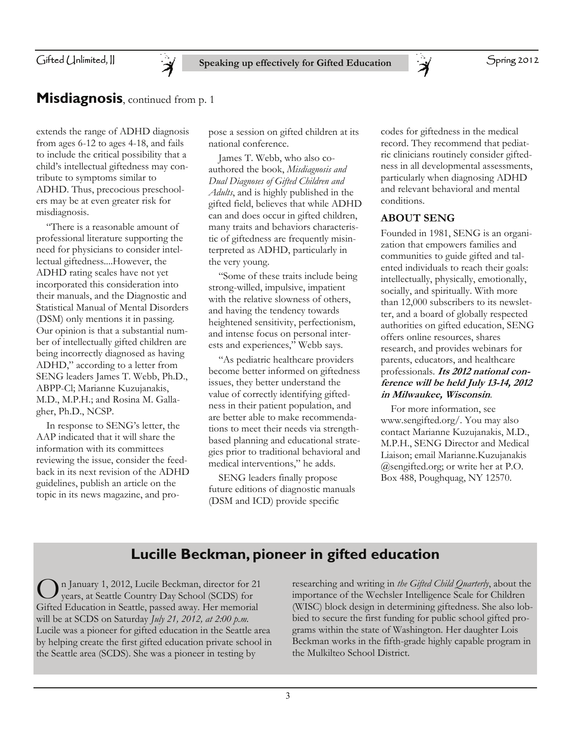

#### **Misdiagnosis**, continued from p. 1

Ă

extends the range of ADHD diagnosis from ages 6-12 to ages 4-18, and fails to include the critical possibility that a child's intellectual giftedness may contribute to symptoms similar to ADHD. Thus, precocious preschoolers may be at even greater risk for misdiagnosis.

 "There is a reasonable amount of professional literature supporting the need for physicians to consider intellectual giftedness....However, the ADHD rating scales have not yet incorporated this consideration into their manuals, and the Diagnostic and Statistical Manual of Mental Disorders (DSM) only mentions it in passing. Our opinion is that a substantial number of intellectually gifted children are being incorrectly diagnosed as having ADHD," according to a letter from SENG leaders James T. Webb, Ph.D., ABPP-Cl; Marianne Kuzujanakis, M.D., M.P.H.; and Rosina M. Gallagher, Ph.D., NCSP.

 In response to SENG's letter, the AAP indicated that it will share the information with its committees reviewing the issue, consider the feedback in its next revision of the ADHD guidelines, publish an article on the topic in its news magazine, and propose a session on gifted children at its national conference.

 James T. Webb, who also coauthored the book, *Misdiagnosis and Dual Diagnoses of Gifted Children and Adults*, and is highly published in the gifted field, believes that while ADHD can and does occur in gifted children, many traits and behaviors characteristic of giftedness are frequently misinterpreted as ADHD, particularly in the very young.

 "Some of these traits include being strong-willed, impulsive, impatient with the relative slowness of others, and having the tendency towards heightened sensitivity, perfectionism, and intense focus on personal interests and experiences," Webb says.

 "As pediatric healthcare providers become better informed on giftedness issues, they better understand the value of correctly identifying giftedness in their patient population, and are better able to make recommendations to meet their needs via strengthbased planning and educational strategies prior to traditional behavioral and medical interventions," he adds.

 SENG leaders finally propose future editions of diagnostic manuals (DSM and ICD) provide specific

codes for giftedness in the medical record. They recommend that pediatric clinicians routinely consider giftedness in all developmental assessments, particularly when diagnosing ADHD and relevant behavioral and mental conditions.

Spring 2012

#### **ABOUT SENG**

 $\ddot{\bm{\varkappa}}$ 

Founded in 1981, SENG is an organization that empowers families and communities to guide gifted and talented individuals to reach their goals: intellectually, physically, emotionally, socially, and spiritually. With more than 12,000 subscribers to its newsletter, and a board of globally respected authorities on gifted education, SENG offers online resources, shares research, and provides webinars for parents, educators, and healthcare professionals. **Its 2012 national conference will be held July 13-14, 2012 in Milwaukee, Wisconsin**.

 For more information, see www.sengifted.org/. You may also contact Marianne Kuzujanakis, M.D., M.P.H., SENG Director and Medical Liaison; email Marianne.Kuzujanakis @sengifted.org; or write her at P.O. Box 488, Poughquag, NY 12570.

#### **Lucille Beckman, pioneer in gifted education**

O n January 1, 2012, Lucile Beckman, director for 21 years, at Seattle Country Day School (SCDS) for Gifted Education in Seattle, passed away. Her memorial will be at SCDS on Saturday *July 21, 2012, at 2:00 p.m.* Lucile was a pioneer for gifted education in the Seattle area by helping create the first gifted education private school in the Seattle area (SCDS). She was a pioneer in testing by

researching and writing in *the Gifted Child Quarterly*, about the importance of the Wechsler Intelligence Scale for Children (WISC) block design in determining giftedness. She also lobbied to secure the first funding for public school gifted programs within the state of Washington. Her daughter Lois Beckman works in the fifth-grade highly capable program in the Mulkilteo School District.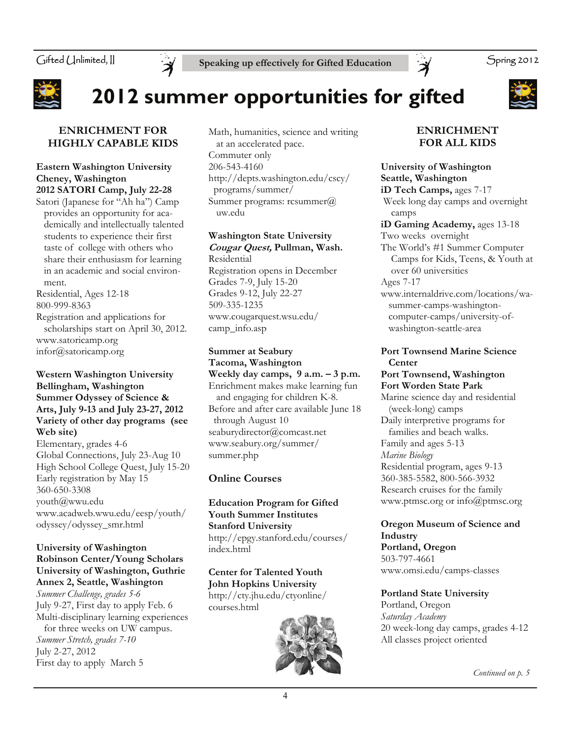Gifted Unlimited, II





### **2012 summer opportunities for gifted**



#### **ENRICHMENT FOR HIGHLY CAPABLE KIDS**

#### **Eastern Washington University Cheney, Washington 2012 SATORI Camp, July 22-28**

Satori (Japanese for "Ah ha") Camp provides an opportunity for aca demically and intellectually talented students to experience their first taste of college with others who share their enthusiasm for learning in an academic and social environ ment.

Residential, Ages 12-18 800-999-8363 Registration and applications for

 scholarships start on April 30, 2012. www.satoricamp.org infor@satoricamp.org

#### **Western Washington University Bellingham, Washington Summer Odyssey of Science & Arts, July 9-13 and July 23-27, 2012 Variety of other day programs (see Web site)**

Elementary, grades 4-6 Global Connections, July 23-Aug 10 High School College Quest, July 15-20 Early registration by May 15 360-650-3308 youth@wwu.edu www.acadweb.wwu.edu/eesp/youth/ odyssey/odyssey\_smr.html

#### **University of Washington Robinson Center/Young Scholars University of Washington, Guthrie Annex 2, Seattle, Washington**

*Summer Challenge, grades 5-6*  July 9-27, First day to apply Feb. 6 Multi-disciplinary learning experiences for three weeks on UW campus. *Summer Stretch, grades 7-10*  July 2-27, 2012 First day to apply March 5

Math, humanities, science and writing at an accelerated pace. Commuter only 206-543-4160 http://depts.washington.edu/cscy/ programs/summer/ Summer programs: rcsummer@ uw.edu

#### **Washington State University Cougar Quest, Pullman, Wash.**

Residential Registration opens in December Grades 7-9, July 15-20 Grades 9-12, July 22-27 509-335-1235 www.cougarquest.wsu.edu/ camp\_info.asp

**Summer at Seabury Tacoma, Washington Weekly day camps, 9 a.m. – 3 p.m.**  Enrichment makes make learning fun and engaging for children K-8. Before and after care available June 18 through August 10 seaburydirector@comcast.net www.seabury.org/summer/ summer.php

#### **Online Courses**

**Education Program for Gifted Youth Summer Institutes Stanford University**  http://epgy.stanford.edu/courses/ index.html

**Center for Talented Youth John Hopkins University**  http://cty.jhu.edu/ctyonline/ courses.html



#### **ENRICHMENT FOR ALL KIDS**

**University of Washington Seattle, Washington iD Tech Camps,** ages 7-17 Week long day camps and overnight camps **iD Gaming Academy,** ages 13-18 Two weeks overnight The World's #1 Summer Computer Camps for Kids, Teens, & Youth at over 60 universities Ages 7-17 www.internaldrive.com/locations/wa summer-camps-washington computer-camps/university-of washington-seattle-area

#### **Port Townsend Marine Science Center**

#### **Port Townsend, Washington Fort Worden State Park**

Marine science day and residential (week-long) camps Daily interpretive programs for families and beach walks. Family and ages 5-13 *Marine Biology*  Residential program, ages 9-13 360-385-5582, 800-566-3932 Research cruises for the family www.ptmsc.org or info@ptmsc.org

#### **Oregon Museum of Science and Industry**

**Portland, Oregon**  503-797-4661 www.omsi.edu/camps-classes

#### **Portland State University**

Portland, Oregon *Saturday Academy*  20 week-long day camps, grades 4-12 All classes project oriented

*Continued on p. 5*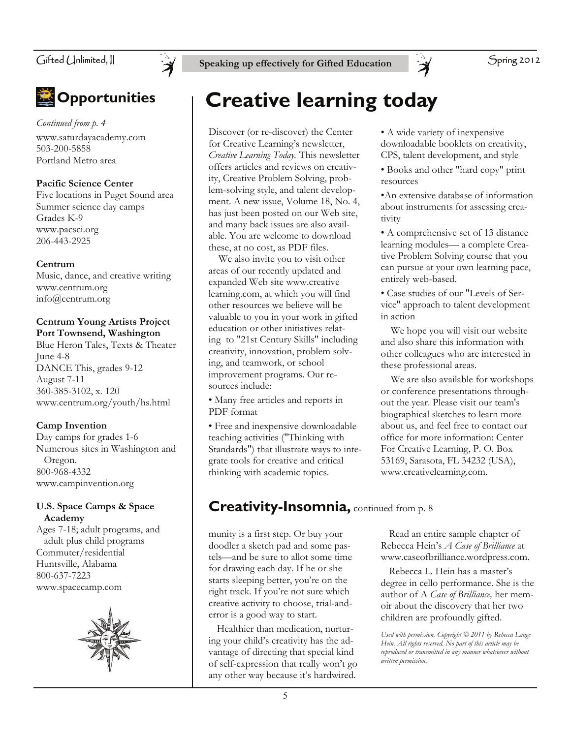

Gifted Unlimited, **II** Speaking up effectively for Gifted Education  $\rightarrow$ 

### **<sup><b>** *Opportunities*</sup>

*Continued from p. 4*  www.saturdayacademy.com 503-200-5858 Portland Metro area

#### **Pacific Science Center**

Five locations in Puget Sound area Summer science day camps Grades K-9 www.pacsci.org 206-443-2925

#### **Centrum**

Music, dance, and creative writing www.centrum.org info@centrum.org

#### **Centrum Young Artists Project Port Townsend, Washington**

Blue Heron Tales, Texts & Theater June 4-8 DANCE This, grades 9-12 August 7-11 360-385-3102, x. 120 www.centrum.org/youth/hs.html

#### **Camp Invention**

Day camps for grades 1-6 Numerous sites in Washington and Oregon. 800-968-4332 www.campinvention.org

#### **U.S. Space Camps & Space Academy**

Ages 7-18; adult programs, and adult plus child programs Commuter/residential Huntsville, Alabama 800-637-7223 www.spacecamp.com



### **Creative learning today**

Discover (or re-discover) the Center for Creative Learning's newsletter, *Creative Learning Today.* This newsletter offers articles and reviews on creativity, Creative Problem Solving, problem-solving style, and talent development. A new issue, Volume 18, No. 4, has just been posted on our Web site, and many back issues are also available. You are welcome to download these, at no cost, as PDF files.

 We also invite you to visit other areas of our recently updated and expanded Web site www.creative learning.com, at which you will find other resources we believe will be valuable to you in your work in gifted education or other initiatives relating to "21st Century Skills" including creativity, innovation, problem solving, and teamwork, or school improvement programs. Our resources include:

• Many free articles and reports in PDF format

• Free and inexpensive downloadable teaching activities ("Thinking with Standards") that illustrate ways to integrate tools for creative and critical thinking with academic topics.

#### • A wide variety of inexpensive downloadable booklets on creativity, CPS, talent development, and style

• Books and other "hard copy" print resources

•An extensive database of information about instruments for assessing creativity

• A comprehensive set of 13 distance learning modules— a complete Creative Problem Solving course that you can pursue at your own learning pace, entirely web-based.

• Case studies of our "Levels of Service" approach to talent development in action

 We hope you will visit our website and also share this information with other colleagues who are interested in these professional areas.

 We are also available for workshops or conference presentations throughout the year. Please visit our team's biographical sketches to learn more about us, and feel free to contact our office for more information: Center For Creative Learning, P. O. Box 53169, Sarasota, FL 34232 (USA), www.creativelearning.com.

### **Creativity-Insomnia, continued from p. 8**

munity is a first step. Or buy your doodler a sketch pad and some pastels—and be sure to allot some time for drawing each day. If he or she starts sleeping better, you're on the right track. If you're not sure which creative activity to choose, trial-anderror is a good way to start.

 Healthier than medication, nurturing your child's creativity has the advantage of directing that special kind of self-expression that really won't go any other way because it's hardwired.

 Read an entire sample chapter of Rebecca Hein's *A Case of Brilliance* at www.caseofbrilliance.wordpress.com.

 Rebecca L. Hein has a master's degree in cello performance. She is the author of A *Case of Brilliance,* her memoir about the discovery that her two children are profoundly gifted.

*Used with permission. Copyright © 2011 by Rebecca Lange Hein. All rights reserved. No part of this article may be reproduced or transmitted in any manner whatsoever without written permission.*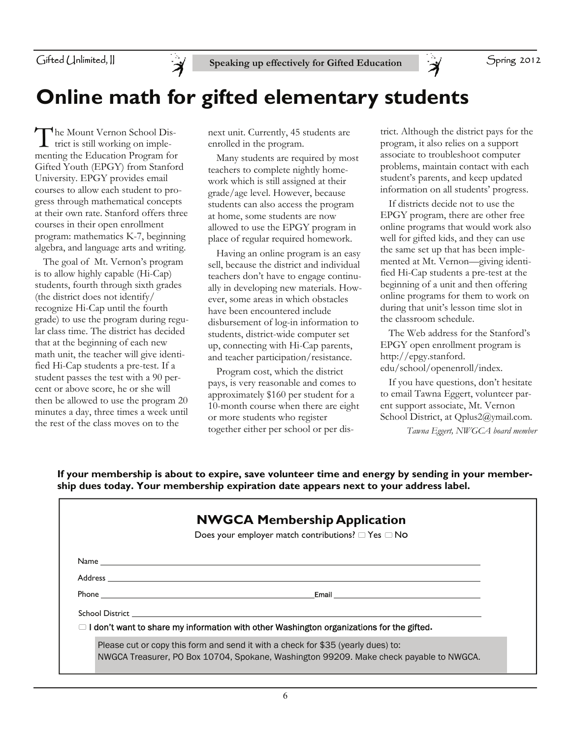

Spring 2012

### **Online math for gifted elementary students**

The Mount Vernon School District is still working on implementing the Education Program for Gifted Youth (EPGY) from Stanford University. EPGY provides email courses to allow each student to progress through mathematical concepts at their own rate. Stanford offers three courses in their open enrollment program: mathematics K-7, beginning algebra, and language arts and writing.

 The goal of Mt. Vernon's program is to allow highly capable (Hi-Cap) students, fourth through sixth grades (the district does not identify/ recognize Hi-Cap until the fourth grade) to use the program during regular class time. The district has decided that at the beginning of each new math unit, the teacher will give identified Hi-Cap students a pre-test. If a student passes the test with a 90 percent or above score, he or she will then be allowed to use the program 20 minutes a day, three times a week until the rest of the class moves on to the

next unit. Currently, 45 students are enrolled in the program.

 Many students are required by most teachers to complete nightly homework which is still assigned at their grade/age level. However, because students can also access the program at home, some students are now allowed to use the EPGY program in place of regular required homework.

 Having an online program is an easy sell, because the district and individual teachers don't have to engage continually in developing new materials. However, some areas in which obstacles have been encountered include disbursement of log-in information to students, district-wide computer set up, connecting with Hi-Cap parents, and teacher participation/resistance.

 Program cost, which the district pays, is very reasonable and comes to approximately \$160 per student for a 10-month course when there are eight or more students who register together either per school or per dis- *Tawna Eggert, NWGCA board member*

trict. Although the district pays for the program, it also relies on a support associate to troubleshoot computer problems, maintain contact with each student's parents, and keep updated information on all students' progress.

F

 If districts decide not to use the EPGY program, there are other free online programs that would work also well for gifted kids, and they can use the same set up that has been implemented at Mt. Vernon—giving identified Hi-Cap students a pre-test at the beginning of a unit and then offering online programs for them to work on during that unit's lesson time slot in the classroom schedule.

 The Web address for the Stanford's EPGY open enrollment program is http://epgy.stanford. edu/school/openenroll/index.

 If you have questions, don't hesitate to email Tawna Eggert, volunteer parent support associate, Mt. Vernon School District, at Qplus2@ymail.com.

**If your membership is about to expire, save volunteer time and energy by sending in your membership dues today. Your membership expiration date appears next to your address label.** 

| <b>NWGCA Membership Application</b> |                                                                                                                      |  |
|-------------------------------------|----------------------------------------------------------------------------------------------------------------------|--|
|                                     | Does your employer match contributions? $\Box$ Yes $\Box$ No                                                         |  |
|                                     |                                                                                                                      |  |
|                                     |                                                                                                                      |  |
|                                     | Email and the contract of the contract of the contract of the contract of the contract of the contract of the        |  |
|                                     | School District <b>Executive School School</b> School School School School School School School School School School |  |
|                                     | $\Box$ I don't want to share my information with other Washington organizations for the gifted.                      |  |
|                                     | Please cut or copy this form and send it with a check for \$35 (yearly dues) to:                                     |  |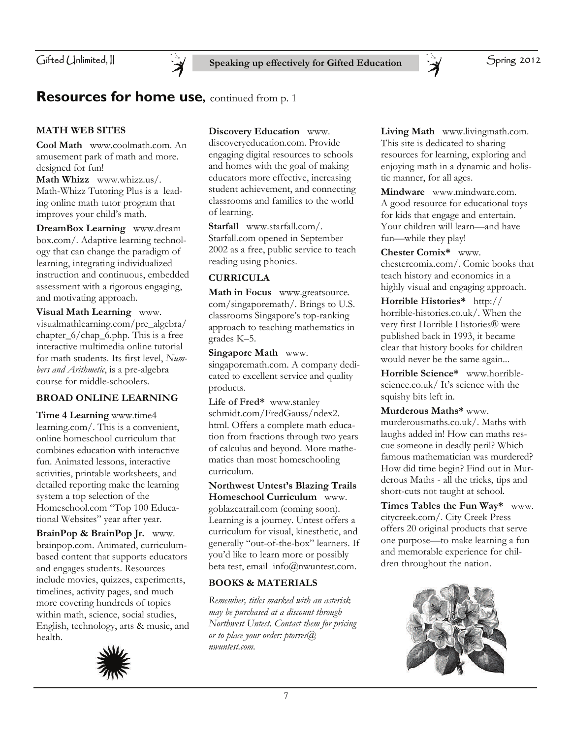

#### **Resources for home use, continued from p. 1**

#### **MATH WEB SITES**

**Cool Math** www.coolmath.com. An amusement park of math and more. designed for fun!

**Math Whizz** www.whizz.us/. Math-Whizz Tutoring Plus is a leading online math tutor program that improves your child's math.

**DreamBox Learning** www.dream box.com/. Adaptive learning technology that can change the paradigm of learning, integrating individualized instruction and continuous, embedded assessment with a rigorous engaging, and motivating approach.

**Visual Math Learning** www. visualmathlearning.com/pre\_algebra/ chapter  $6/$ chap  $6.$ php. This is a free interactive multimedia online tutorial for math students. Its first level, *Numbers and Arithmetic*, is a pre-algebra course for middle-schoolers.

#### **BROAD ONLINE LEARNING**

**Time 4 Learning** www.time4 learning.com/. This is a convenient, online homeschool curriculum that combines education with interactive fun. Animated lessons, interactive activities, printable worksheets, and detailed reporting make the learning system a top selection of the Homeschool.com "Top 100 Educational Websites" year after year.

**BrainPop & BrainPop Jr.** www. brainpop.com. Animated, curriculumbased content that supports educators and engages students. Resources include movies, quizzes, experiments, timelines, activity pages, and much more covering hundreds of topics within math, science, social studies, English, technology, arts & music, and health.



**Discovery Education** www.

discoveryeducation.com. Provide engaging digital resources to schools and homes with the goal of making educators more effective, increasing student achievement, and connecting classrooms and families to the world of learning.

**Starfall** www.starfall.com/. Starfall.com opened in September 2002 as a free, public service to teach reading using phonics.

#### **CURRICULA**

**Math in Focus** www.greatsource. com/singaporemath/. Brings to U.S. classrooms Singapore's top-ranking approach to teaching mathematics in grades K–5.

**Singapore Math** www. singaporemath.com. A company dedicated to excellent service and quality products.

**Life of Fred\*** www.stanley schmidt.com/FredGauss/ndex2. html. Offers a complete math education from fractions through two years of calculus and beyond. More mathematics than most homeschooling curriculum.

**Northwest Untest's Blazing Trails Homeschool Curriculum** www. goblazeatrail.com (coming soon). Learning is a journey. Untest offers a curriculum for visual, kinesthetic, and generally "out-of-the-box" learners. If you'd like to learn more or possibly beta test, email info@nwuntest.com.

#### **BOOKS & MATERIALS**

*Remember, titles marked with an asterisk may be purchased at a discount through Northwest Untest. Contact them for pricing or to place your order: ptorres@ nwuntest.com.* 

**Living Math** www.livingmath.com. This site is dedicated to sharing resources for learning, exploring and enjoying math in a dynamic and holistic manner, for all ages.

**Mindware** www.mindware.com. A good resource for educational toys for kids that engage and entertain. Your children will learn—and have fun—while they play!

**Chester Comix\*** www. chestercomix.com/. Comic books that teach history and economics in a highly visual and engaging approach.

**Horrible Histories\*** http:// horrible-histories.co.uk/. When the very first Horrible Histories® were published back in 1993, it became clear that history books for children would never be the same again...

**Horrible Science\*** www.horriblescience.co.uk/ It's science with the squishy bits left in.

**Murderous Maths\*** www. murderousmaths.co.uk/. Maths with laughs added in! How can maths rescue someone in deadly peril? Which famous mathematician was murdered? How did time begin? Find out in Murderous Maths - all the tricks, tips and short-cuts not taught at school.

**Times Tables the Fun Way\*** www. citycreek.com/. City Creek Press offers 20 original products that serve one purpose—to make learning a fun and memorable experience for children throughout the nation.